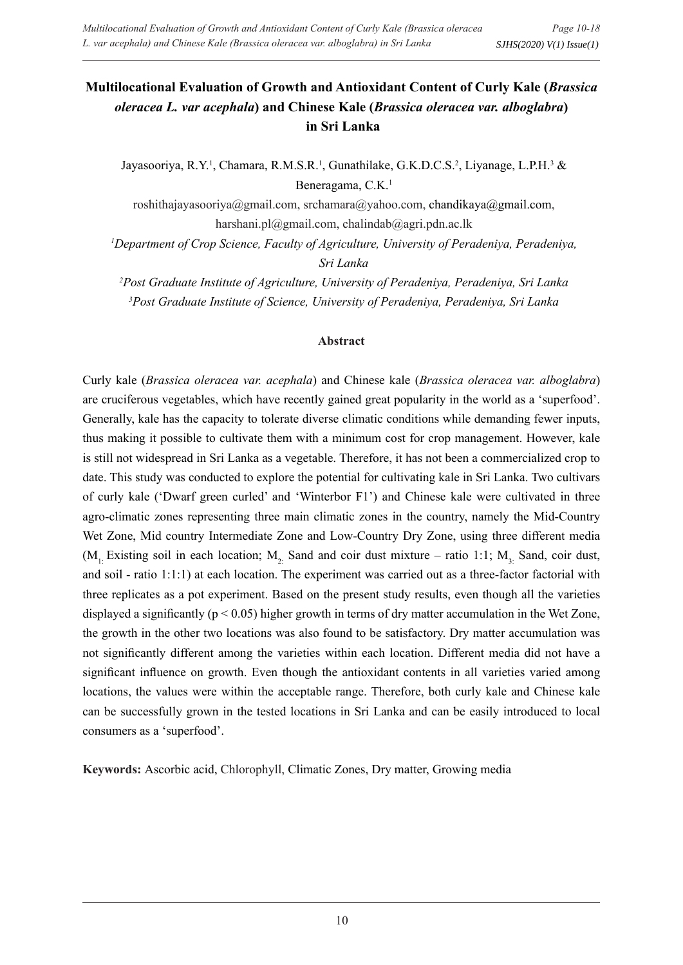# **Multilocational Evaluation of Growth and Antioxidant Content of Curly Kale (***Brassica oleracea L. var acephala***) and Chinese Kale (***Brassica oleracea var. alboglabra***) in Sri Lanka**

Jayasooriya, R.Y.<sup>1</sup>, Chamara, R.M.S.R.<sup>1</sup>, Gunathilake, G.K.D.C.S.<sup>2</sup>, Liyanage, L.P.H.<sup>3</sup> & Beneragama, C.K.<sup>1</sup>

roshithajayasooriya@gmail.com, srchamara@yahoo.com, chandikaya@gmail.com, harshani.pl@gmail.com, chalindab@agri.pdn.ac.lk

<sup>1</sup>Department of Crop Science, Faculty of Agriculture, University of Peradeniya, Peradeniya, *Sri Lanka*

*2 Post Graduate Institute of Agriculture, University of Peradeniya, Peradeniya, Sri Lanka 3 Post Graduate Institute of Science, University of Peradeniya, Peradeniya, Sri Lanka*

#### **Abstract**

Curly kale (*Brassica oleracea var. acephala*) and Chinese kale (*Brassica oleracea var. alboglabra*) are cruciferous vegetables, which have recently gained great popularity in the world as a 'superfood'. Generally, kale has the capacity to tolerate diverse climatic conditions while demanding fewer inputs, thus making it possible to cultivate them with a minimum cost for crop management. However, kale is still not widespread in Sri Lanka as a vegetable. Therefore, it has not been a commercialized crop to date. This study was conducted to explore the potential for cultivating kale in Sri Lanka. Two cultivars of curly kale ('Dwarf green curled' and 'Winterbor F1') and Chinese kale were cultivated in three agro-climatic zones representing three main climatic zones in the country, namely the Mid-Country Wet Zone, Mid country Intermediate Zone and Low-Country Dry Zone, using three different media  $(M_1:$  Existing soil in each location;  $M_2$ . Sand and coir dust mixture – ratio 1:1;  $M_3$ . Sand, coir dust, and soil - ratio 1:1:1) at each location. The experiment was carried out as a three-factor factorial with three replicates as a pot experiment. Based on the present study results, even though all the varieties displayed a significantly ( $p < 0.05$ ) higher growth in terms of dry matter accumulation in the Wet Zone, the growth in the other two locations was also found to be satisfactory. Dry matter accumulation was not significantly different among the varieties within each location. Different media did not have a significant influence on growth. Even though the antioxidant contents in all varieties varied among locations, the values were within the acceptable range. Therefore, both curly kale and Chinese kale can be successfully grown in the tested locations in Sri Lanka and can be easily introduced to local consumers as a 'superfood'.

**Keywords:** Ascorbic acid, Chlorophyll, Climatic Zones, Dry matter, Growing media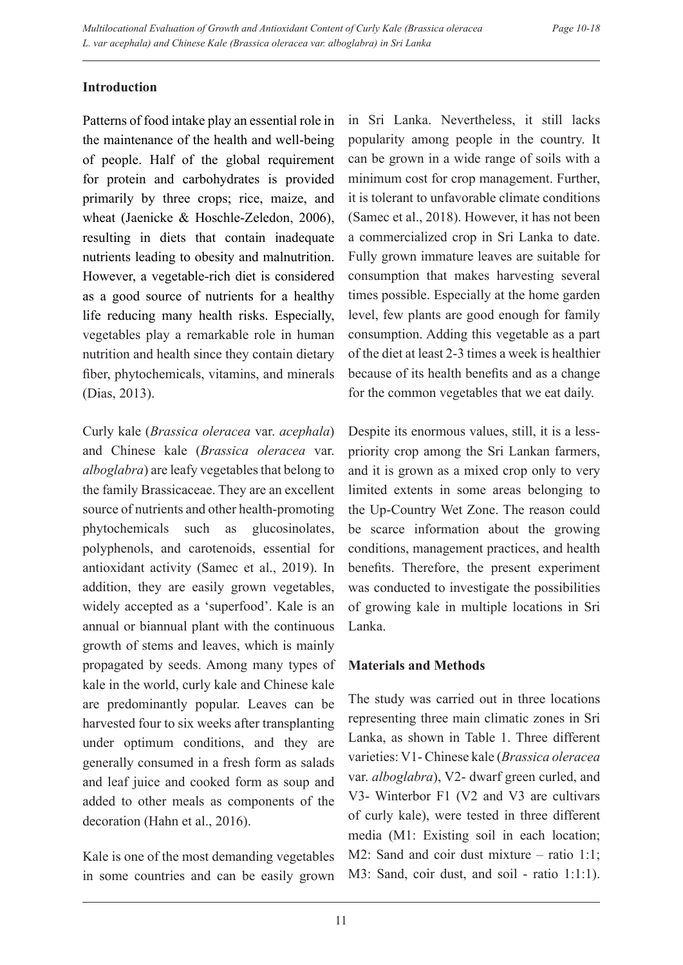# **Introduction**

Patterns of food intake play an essential role in the maintenance of the health and well-being of people. Half of the global requirement for protein and carbohydrates is provided primarily by three crops; rice, maize, and wheat (Jaenicke & Hoschle-Zeledon, 2006), resulting in diets that contain inadequate nutrients leading to obesity and malnutrition. However, a vegetable-rich diet is considered as a good source of nutrients for a healthy life reducing many health risks. Especially, vegetables play a remarkable role in human nutrition and health since they contain dietary fiber, phytochemicals, vitamins, and minerals (Dias, 2013).

Curly kale (*Brassica oleracea* var. *acephala*) and Chinese kale (*Brassica oleracea* var. *alboglabra*) are leafy vegetables that belong to the family Brassicaceae. They are an excellent source of nutrients and other health-promoting phytochemicals such as glucosinolates, polyphenols, and carotenoids, essential for antioxidant activity (Samec et al., 2019). In addition, they are easily grown vegetables, widely accepted as a 'superfood'. Kale is an annual or biannual plant with the continuous growth of stems and leaves, which is mainly propagated by seeds. Among many types of kale in the world, curly kale and Chinese kale are predominantly popular. Leaves can be harvested four to six weeks after transplanting under optimum conditions, and they are generally consumed in a fresh form as salads and leaf juice and cooked form as soup and added to other meals as components of the decoration (Hahn et al., 2016).

Kale is one of the most demanding vegetables in some countries and can be easily grown

in Sri Lanka. Nevertheless, it still lacks popularity among people in the country. It can be grown in a wide range of soils with a minimum cost for crop management. Further, it is tolerant to unfavorable climate conditions (Samec et al., 2018). However, it has not been a commercialized crop in Sri Lanka to date. Fully grown immature leaves are suitable for consumption that makes harvesting several times possible. Especially at the home garden level, few plants are good enough for family consumption. Adding this vegetable as a part of the diet at least 2-3 times a week is healthier because of its health benefits and as a change for the common vegetables that we eat daily.

Despite its enormous values, still, it is a lesspriority crop among the Sri Lankan farmers, and it is grown as a mixed crop only to very limited extents in some areas belonging to the Up-Country Wet Zone. The reason could be scarce information about the growing conditions, management practices, and health benefits. Therefore, the present experiment was conducted to investigate the possibilities of growing kale in multiple locations in Sri Lanka.

# **Materials and Methods**

The study was carried out in three locations representing three main climatic zones in Sri Lanka, as shown in Table 1. Three different varieties: V1- Chinese kale (*Brassica oleracea* var. *alboglabra*), V2- dwarf green curled, and V3- Winterbor F1 (V2 and V3 are cultivars of curly kale), were tested in three different media (M1: Existing soil in each location; M2: Sand and coir dust mixture – ratio 1:1; M3: Sand, coir dust, and soil - ratio 1:1:1).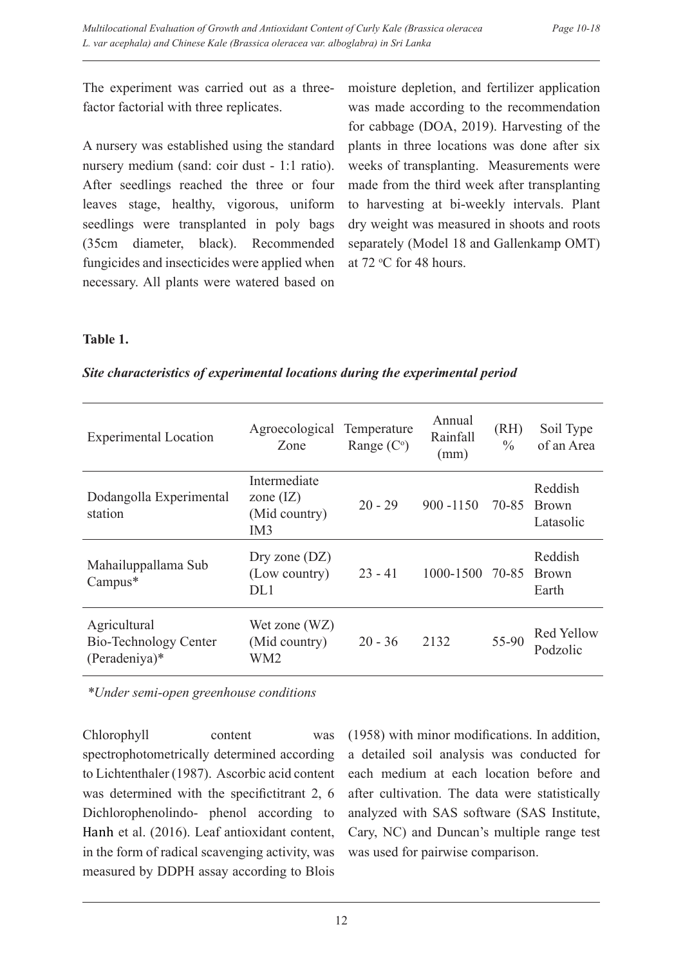The experiment was carried out as a threefactor factorial with three replicates.

A nursery was established using the standard nursery medium (sand: coir dust - 1:1 ratio). After seedlings reached the three or four leaves stage, healthy, vigorous, uniform seedlings were transplanted in poly bags (35cm diameter, black). Recommended fungicides and insecticides were applied when necessary. All plants were watered based on moisture depletion, and fertilizer application was made according to the recommendation for cabbage (DOA, 2019). Harvesting of the plants in three locations was done after six weeks of transplanting. Measurements were made from the third week after transplanting to harvesting at bi-weekly intervals. Plant dry weight was measured in shoots and roots separately (Model 18 and Gallenkamp OMT) at 72 °C for 48 hours.

#### **Table 1.**

| Site characteristics of experimental locations during the experimental period |  |  |  |  |
|-------------------------------------------------------------------------------|--|--|--|--|
|                                                                               |  |  |  |  |
|                                                                               |  |  |  |  |
|                                                                               |  |  |  |  |

| <b>Experimental Location</b>                             | Agroecological<br>Zone                              | Temperature<br>Range $(C^{\circ})$ | Annual<br>Rainfall<br>(mm) | (RH)<br>$\frac{0}{0}$ | Soil Type<br>of an Area             |
|----------------------------------------------------------|-----------------------------------------------------|------------------------------------|----------------------------|-----------------------|-------------------------------------|
| Dodangolla Experimental<br>station                       | Intermediate<br>zone $(IZ)$<br>(Mid country)<br>IM3 | $20 - 29$                          | $900 - 1150$               |                       | Reddish<br>70-85 Brown<br>Latasolic |
| Mahailuppallama Sub<br>Campus*                           | Dry zone $(DZ)$<br>(Low country)<br>DL1             | $23 - 41$                          | 1000-1500 70-85            |                       | Reddish<br><b>Brown</b><br>Earth    |
| Agricultural<br>Bio-Technology Center<br>$(Peradeniya)*$ | Wet zone (WZ)<br>(Mid country)<br>WM <sub>2</sub>   | $20 - 36$                          | 2132                       | 55-90                 | Red Yellow<br>Podzolic              |

*\*Under semi-open greenhouse conditions*

Chlorophyll content was spectrophotometrically determined according to Lichtenthaler (1987). Ascorbic acid content was determined with the specifictitrant 2, 6 Dichlorophenolindo- phenol according to Hanh et al. (2016). Leaf antioxidant content, in the form of radical scavenging activity, was measured by DDPH assay according to Blois

(1958) with minor modifications. In addition, a detailed soil analysis was conducted for each medium at each location before and after cultivation. The data were statistically analyzed with SAS software (SAS Institute, Cary, NC) and Duncan's multiple range test was used for pairwise comparison.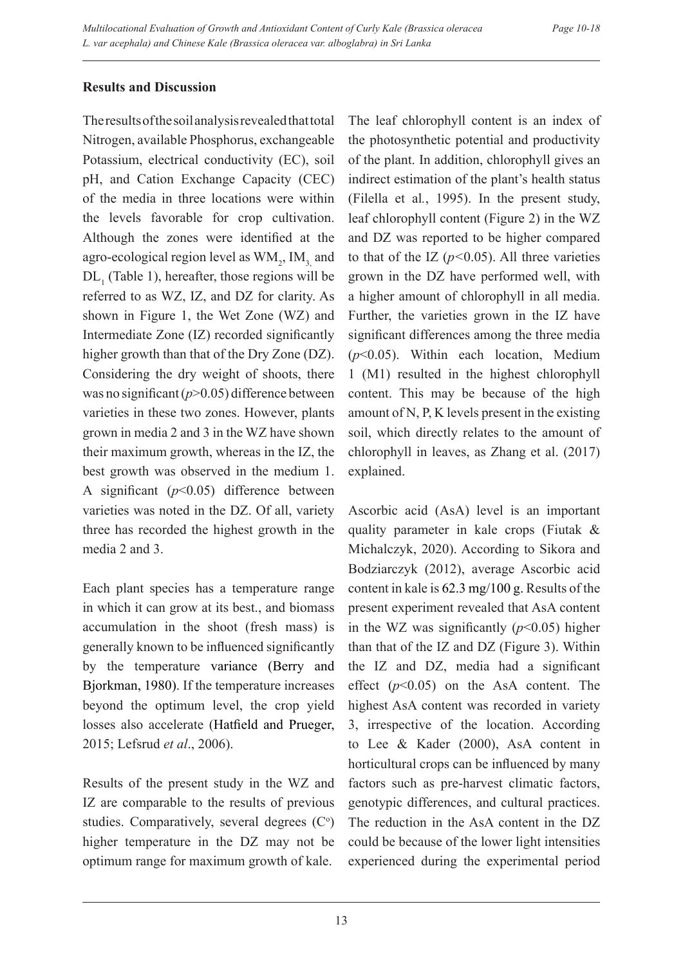# **Results and Discussion**

The results of the soil analysis revealed that total Nitrogen, available Phosphorus, exchangeable Potassium, electrical conductivity (EC), soil pH, and Cation Exchange Capacity (CEC) of the media in three locations were within the levels favorable for crop cultivation. Although the zones were identified at the agro-ecological region level as  $WM_2$ ,  $IM_3$  and  $DL_1$  (Table 1), hereafter, those regions will be referred to as WZ, IZ, and DZ for clarity. As shown in Figure 1, the Wet Zone (WZ) and Intermediate Zone (IZ) recorded significantly higher growth than that of the Dry Zone (DZ). Considering the dry weight of shoots, there was no significant (*p*>0.05) difference between varieties in these two zones. However, plants grown in media 2 and 3 in the WZ have shown their maximum growth, whereas in the IZ, the best growth was observed in the medium 1. A significant (*p*<0.05) difference between varieties was noted in the DZ. Of all, variety three has recorded the highest growth in the media 2 and 3.

Each plant species has a temperature range in which it can grow at its best., and biomass accumulation in the shoot (fresh mass) is generally known to be influenced significantly by the temperature variance (Berry and Bjorkman, 1980). If the temperature increases beyond the optimum level, the crop yield losses also accelerate (Hatfield and Prueger, 2015; Lefsrud *et al*., 2006).

Results of the present study in the WZ and IZ are comparable to the results of previous studies. Comparatively, several degrees  $(C<sup>o</sup>)$ higher temperature in the DZ may not be optimum range for maximum growth of kale.

The leaf chlorophyll content is an index of the photosynthetic potential and productivity of the plant. In addition, chlorophyll gives an indirect estimation of the plant's health status (Filella et al*.*, 1995). In the present study, leaf chlorophyll content (Figure 2) in the WZ and DZ was reported to be higher compared to that of the IZ  $(p<0.05)$ . All three varieties grown in the DZ have performed well, with a higher amount of chlorophyll in all media. Further, the varieties grown in the IZ have significant differences among the three media (*p*<0.05). Within each location, Medium 1 (M1) resulted in the highest chlorophyll content. This may be because of the high amount of N, P, K levels present in the existing soil, which directly relates to the amount of chlorophyll in leaves, as Zhang et al. (2017) explained.

Ascorbic acid (AsA) level is an important quality parameter in kale crops (Fiutak & Michalczyk, 2020). According to Sikora and Bodziarczyk (2012), average Ascorbic acid content in kale is 62.3 mg/100 g. Results of the present experiment revealed that AsA content in the WZ was significantly  $(p<0.05)$  higher than that of the IZ and DZ (Figure 3). Within the IZ and DZ, media had a significant effect (*p*<0.05) on the AsA content. The highest AsA content was recorded in variety 3, irrespective of the location. According to Lee & Kader (2000), AsA content in horticultural crops can be influenced by many factors such as pre-harvest climatic factors, genotypic differences, and cultural practices. The reduction in the AsA content in the DZ could be because of the lower light intensities experienced during the experimental period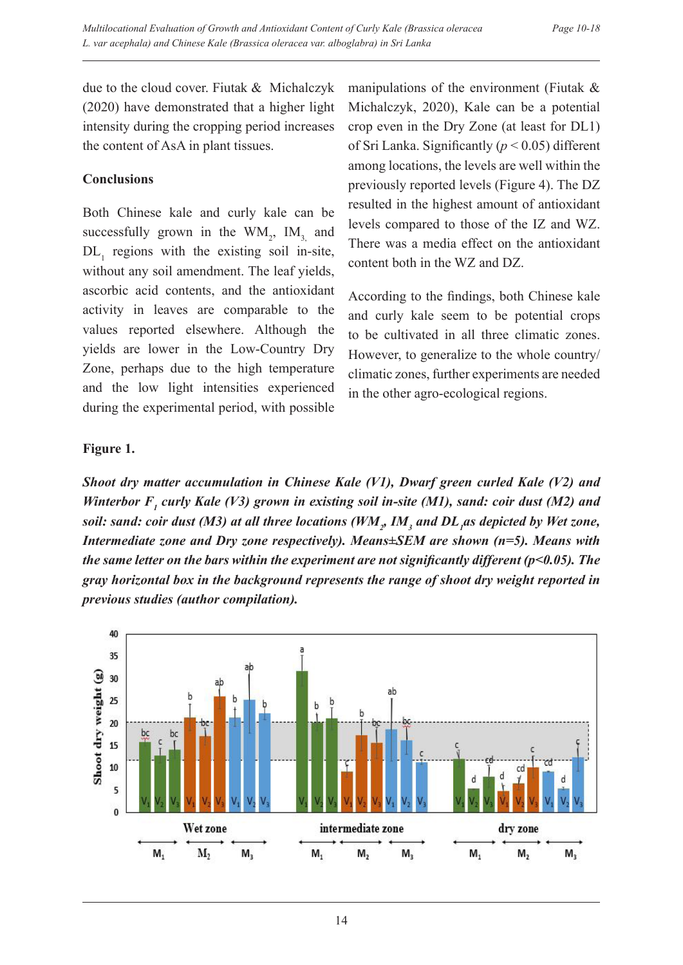due to the cloud cover. Fiutak & Michalczyk (2020) have demonstrated that a higher light intensity during the cropping period increases the content of AsA in plant tissues.

### **Conclusions**

Both Chinese kale and curly kale can be successfully grown in the  $WM_2$ ,  $IM_{3}$  and  $DL_1$  regions with the existing soil in-site, without any soil amendment. The leaf yields, ascorbic acid contents, and the antioxidant activity in leaves are comparable to the values reported elsewhere. Although the yields are lower in the Low-Country Dry Zone, perhaps due to the high temperature and the low light intensities experienced during the experimental period, with possible

manipulations of the environment (Fiutak & Michalczyk, 2020), Kale can be a potential crop even in the Dry Zone (at least for DL1) of Sri Lanka. Significantly (*p* < 0.05) different among locations, the levels are well within the previously reported levels (Figure 4). The DZ resulted in the highest amount of antioxidant levels compared to those of the IZ and WZ. There was a media effect on the antioxidant content both in the WZ and DZ.

According to the findings, both Chinese kale and curly kale seem to be potential crops to be cultivated in all three climatic zones. However, to generalize to the whole country/ climatic zones, further experiments are needed in the other agro-ecological regions.

# **Figure 1.**

*Shoot dry matter accumulation in Chinese Kale (V1), Dwarf green curled Kale (V2) and*  Winterbor F<sub>1</sub> curly Kale (V3) grown in existing soil in-site (M1), sand: coir dust (M2) and *soil: sand: coir dust (M3) at all three locations (WM<sub>2</sub>, IM<sub>3</sub> and DL<sub>1</sub>as depicted by Wet zone, Intermediate zone and Dry zone respectively). Means±SEM are shown (n=5). Means with the same letter on the bars within the experiment are not significantly different (p<0.05). The gray horizontal box in the background represents the range of shoot dry weight reported in previous studies (author compilation).*

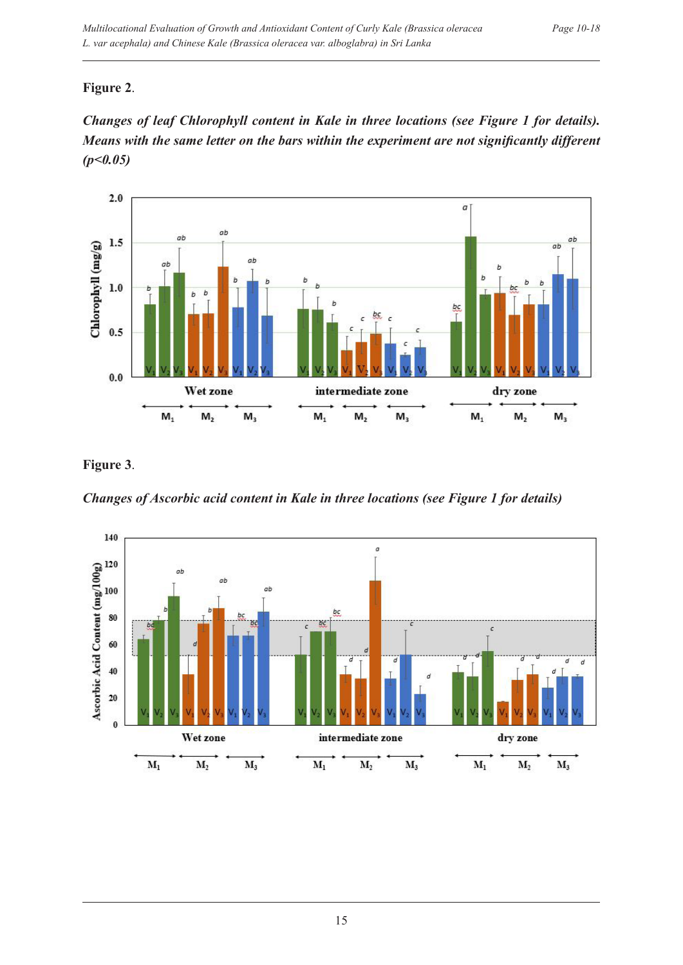# **Figure 2**.





**Figure 3**.

*Changes of Ascorbic acid content in Kale in three locations (see Figure 1 for details)*

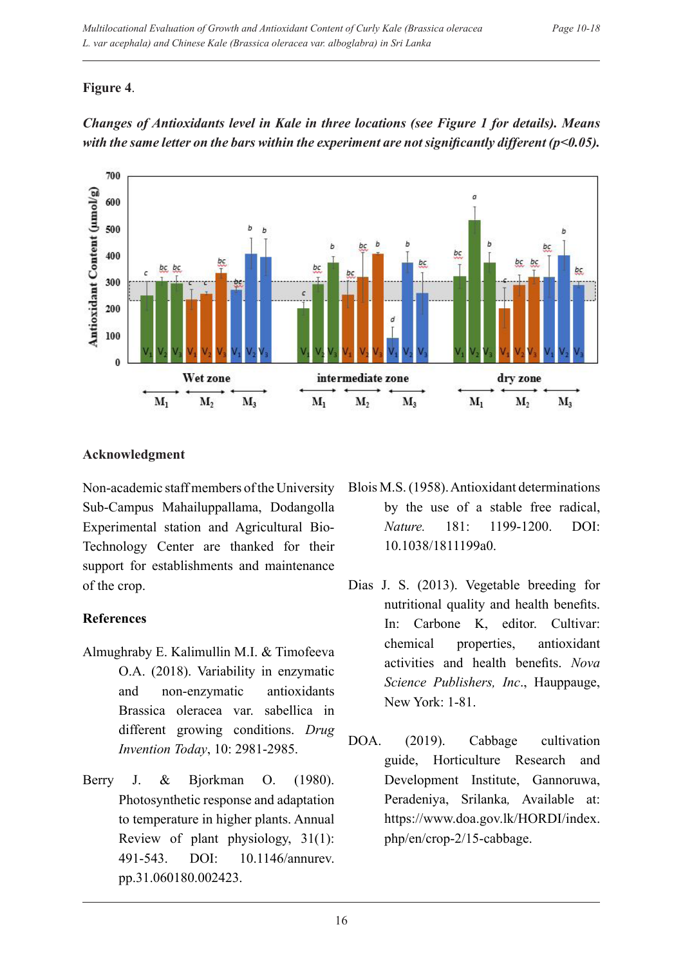# **Figure 4**.



*Changes of Antioxidants level in Kale in three locations (see Figure 1 for details). Means with the same letter on the bars within the experiment are not significantly different (p<0.05).*

# **Acknowledgment**

Non-academic staff members of the University Sub-Campus Mahailuppallama, Dodangolla Experimental station and Agricultural Bio-Technology Center are thanked for their support for establishments and maintenance of the crop.

# **References**

- Almughraby E. Kalimullin M.I. & Timofeeva O.A. (2018). Variability in enzymatic and non-enzymatic antioxidants Brassica oleracea var. sabellica in different growing conditions. *Drug Invention Today*, 10: 2981-2985.
- Berry J. & Bjorkman O. (1980). Photosynthetic response and adaptation to temperature in higher plants. Annual Review of plant physiology, 31(1): 491-543. DOI: 10.1146/annurev. pp.31.060180.002423.
- Blois M.S. (1958). Antioxidant determinations by the use of a stable free radical, *Nature.* 181: 1199-1200. DOI: 10.1038/1811199a0.
- Dias J. S. (2013). Vegetable breeding for nutritional quality and health benefits. In: Carbone K, editor. Cultivar: chemical properties, antioxidant activities and health benefits. *Nova Science Publishers, Inc*., Hauppauge, New York: 1-81.
- DOA. (2019). Cabbage cultivation guide, Horticulture Research and Development Institute, Gannoruwa, Peradeniya, Srilanka*,* Available at: https://www.doa.gov.lk/HORDI/index. php/en/crop-2/15-cabbage.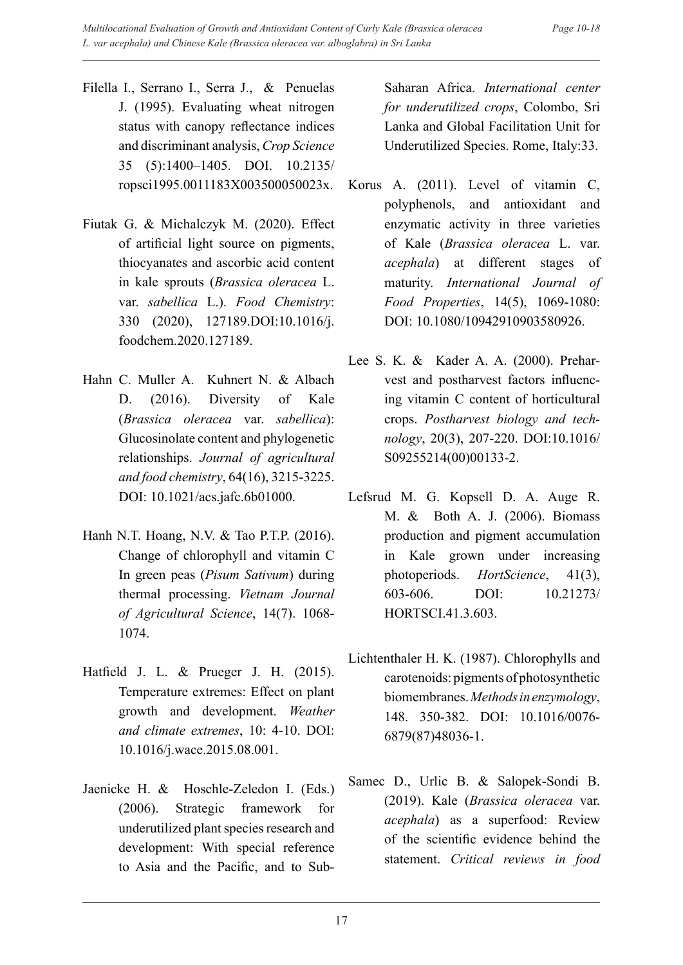- Filella I., Serrano I., Serra J., & Penuelas J. (1995). Evaluating wheat nitrogen status with canopy reflectance indices and discriminant analysis, *Crop Science* 35 (5):1400–1405. DOI. 10.2135/ ropsci1995.0011183X003500050023x.
- Fiutak G. & Michalczyk M. (2020). Effect of artificial light source on pigments, thiocyanates and ascorbic acid content in kale sprouts (*Brassica oleracea* L. var. *sabellica* L.). *Food Chemistry*: 330 (2020), 127189.DOI:10.1016/j. foodchem.2020.127189.
- Hahn C. Muller A. Kuhnert N. & Albach D. (2016). Diversity of Kale (*Brassica oleracea* var. *sabellica*): Glucosinolate content and phylogenetic relationships. *Journal of agricultural and food chemistry*, 64(16), 3215-3225. DOI: 10.1021/acs.jafc.6b01000.
- Hanh N.T. Hoang, N.V. & Tao P.T.P. (2016). Change of chlorophyll and vitamin C In green peas (*Pisum Sativum*) during thermal processing. *Vietnam Journal of Agricultural Science*, 14(7). 1068- 1074.
- Hatfield J. L. & Prueger J. H. (2015). Temperature extremes: Effect on plant growth and development. *Weather and climate extremes*, 10: 4-10. DOI: 10.1016/j.wace.2015.08.001.
- Jaenicke H. & Hoschle-Zeledon I. (Eds.) (2006). Strategic framework for underutilized plant species research and development: With special reference to Asia and the Pacific, and to Sub-

Saharan Africa. *International center for underutilized crops*, Colombo, Sri Lanka and Global Facilitation Unit for Underutilized Species. Rome, Italy:33.

- Korus A. (2011). Level of vitamin C, polyphenols, and antioxidant and enzymatic activity in three varieties of Kale (*Brassica oleracea* L. var. *acephala*) at different stages of maturity. *International Journal of Food Properties*, 14(5), 1069-1080: DOI: 10.1080/10942910903580926
- Lee S. K. & Kader A. A. (2000). Preharvest and postharvest factors influencing vitamin C content of horticultural crops. *Postharvest biology and technology*, 20(3), 207-220. DOI:10.1016/ S09255214(00)00133-2.
- Lefsrud M. G. Kopsell D. A. Auge R. M. & Both A. J. (2006). Biomass production and pigment accumulation in Kale grown under increasing photoperiods. *HortScience*, 41(3), 603-606. DOI: 10.21273/ HORTSCI.41.3.603.
- Lichtenthaler H. K. (1987). Chlorophylls and carotenoids: pigments of photosynthetic biomembranes.*Methods in enzymology*, 148. 350-382. DOI: 10.1016/0076- 6879(87)48036-1.
- Samec D., Urlic B. & Salopek-Sondi B. (2019). Kale (*Brassica oleracea* var. *acephala*) as a superfood: Review of the scientific evidence behind the statement. *Critical reviews in food*